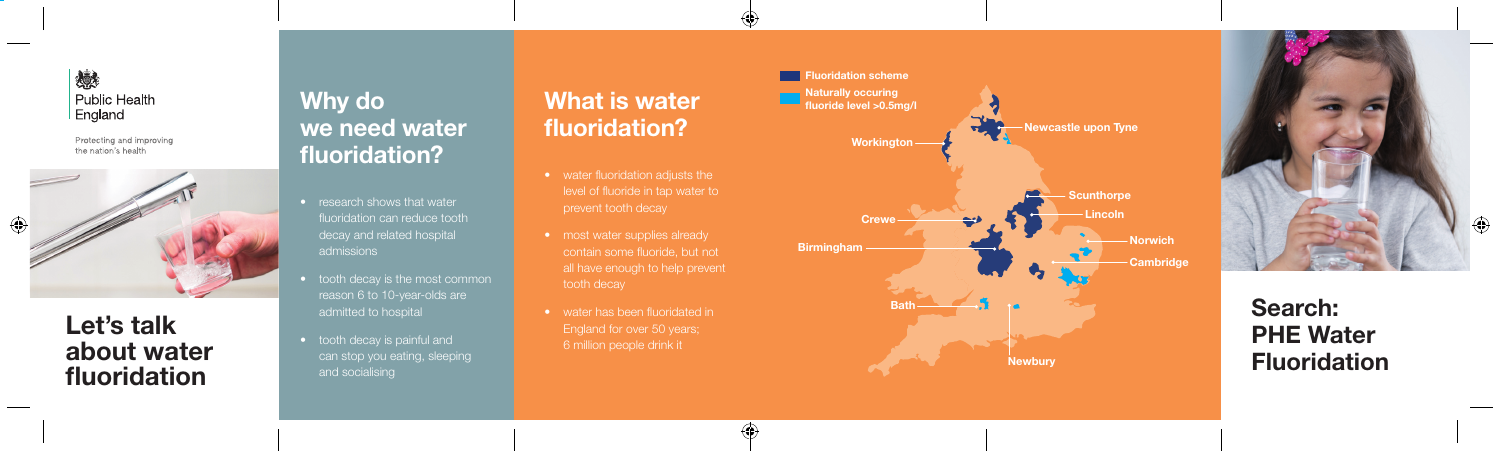

Protecting and improving the nation's health



### **Let's talk about water fluoridation**

## **Why do we need water fluoridation?**

- research shows that water fluoridation can reduce tooth decay and related hospital admissions
- tooth decay is the most common reason 6 to 10-year-olds are admitted to hospital
- tooth decay is painful and can stop you eating, sleeping and socialising

# **What is water fluoridation?**

- 
- most water supplies already all have enough to help prevent
- water has been fluoridated in

 $\bigoplus$ 





# **Search: PHE Water Fluoridation**